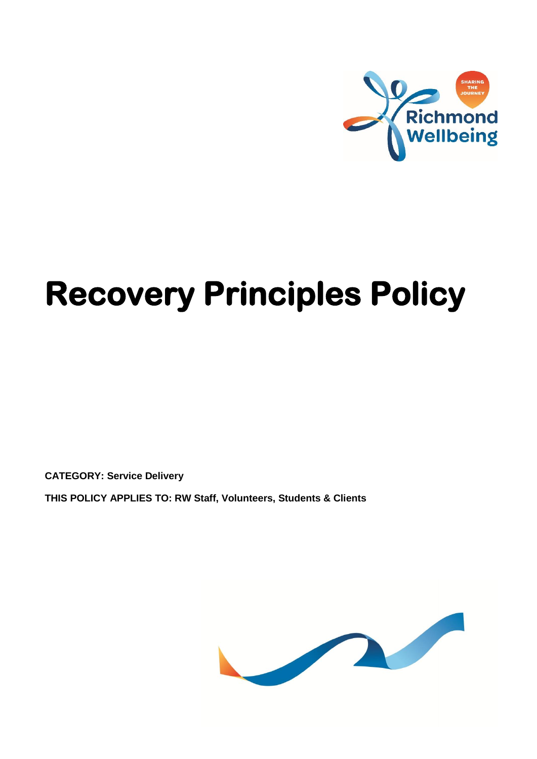

# **Recovery Principles Policy**

**CATEGORY: Service Delivery**

**THIS POLICY APPLIES TO: RW Staff, Volunteers, Students & Clients**

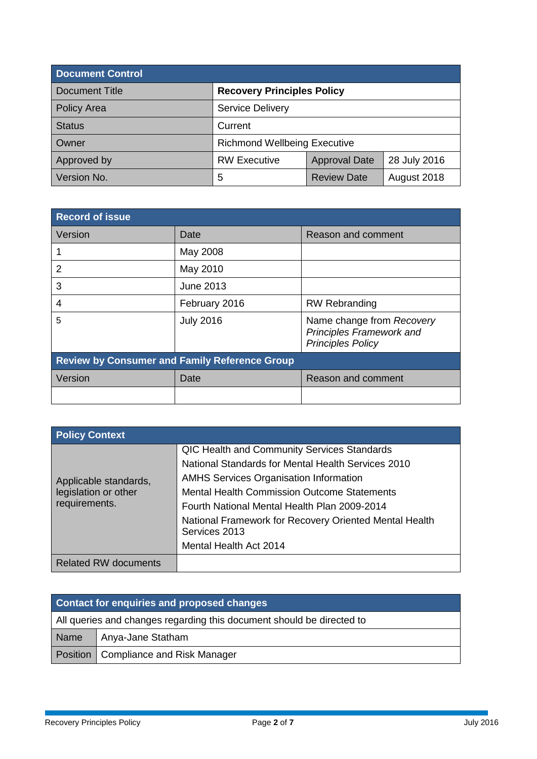| <b>Document Control</b> |                                     |                      |              |  |
|-------------------------|-------------------------------------|----------------------|--------------|--|
| Document Title          | <b>Recovery Principles Policy</b>   |                      |              |  |
| <b>Policy Area</b>      | <b>Service Delivery</b>             |                      |              |  |
| <b>Status</b>           | Current                             |                      |              |  |
| Owner                   | <b>Richmond Wellbeing Executive</b> |                      |              |  |
| Approved by             | <b>RW Executive</b>                 | <b>Approval Date</b> | 28 July 2016 |  |
| Version No.             | 5                                   | <b>Review Date</b>   | August 2018  |  |

| <b>Record of issue</b>                               |                  |                                                                                          |  |  |
|------------------------------------------------------|------------------|------------------------------------------------------------------------------------------|--|--|
| Version                                              | Date             | Reason and comment                                                                       |  |  |
|                                                      | May 2008         |                                                                                          |  |  |
| $\mathcal{P}$                                        | May 2010         |                                                                                          |  |  |
| 3                                                    | June 2013        |                                                                                          |  |  |
| 4                                                    | February 2016    | <b>RW Rebranding</b>                                                                     |  |  |
| 5                                                    | <b>July 2016</b> | Name change from Recovery<br><b>Principles Framework and</b><br><b>Principles Policy</b> |  |  |
| <b>Review by Consumer and Family Reference Group</b> |                  |                                                                                          |  |  |
| Version                                              | Date             | Reason and comment                                                                       |  |  |
|                                                      |                  |                                                                                          |  |  |

| <b>Policy Context</b>                                          |                                                                                                                                                                                                                                                                                                                                                                      |
|----------------------------------------------------------------|----------------------------------------------------------------------------------------------------------------------------------------------------------------------------------------------------------------------------------------------------------------------------------------------------------------------------------------------------------------------|
| Applicable standards,<br>legislation or other<br>requirements. | <b>QIC Health and Community Services Standards</b><br>National Standards for Mental Health Services 2010<br><b>AMHS Services Organisation Information</b><br><b>Mental Health Commission Outcome Statements</b><br>Fourth National Mental Health Plan 2009-2014<br>National Framework for Recovery Oriented Mental Health<br>Services 2013<br>Mental Health Act 2014 |
| <b>Related RW documents</b>                                    |                                                                                                                                                                                                                                                                                                                                                                      |

| Contact for enquiries and proposed changes |                                                                       |  |
|--------------------------------------------|-----------------------------------------------------------------------|--|
|                                            | All queries and changes regarding this document should be directed to |  |
| <b>Name</b>                                | Anya-Jane Statham                                                     |  |
|                                            | Position   Compliance and Risk Manager                                |  |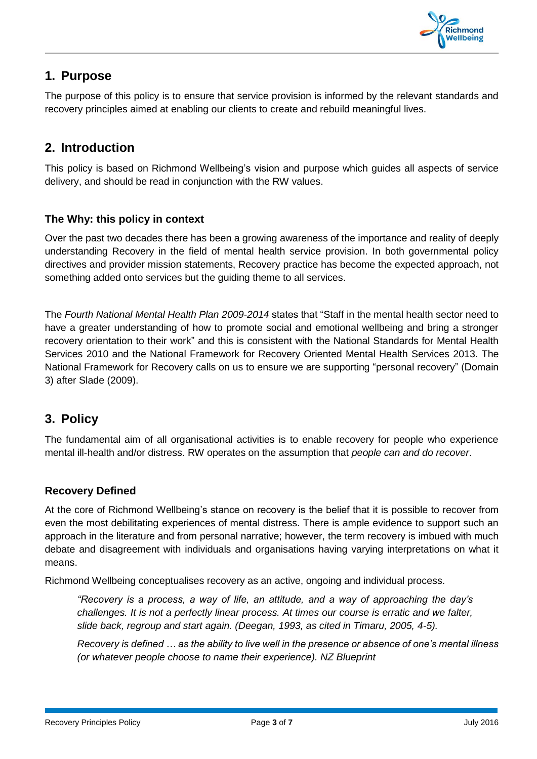

# **1. Purpose**

The purpose of this policy is to ensure that service provision is informed by the relevant standards and recovery principles aimed at enabling our clients to create and rebuild meaningful lives.

# **2. Introduction**

This policy is based on Richmond Wellbeing's vision and purpose which guides all aspects of service delivery, and should be read in conjunction with the RW values.

# **The Why: this policy in context**

Over the past two decades there has been a growing awareness of the importance and reality of deeply understanding Recovery in the field of mental health service provision. In both governmental policy directives and provider mission statements, Recovery practice has become the expected approach, not something added onto services but the guiding theme to all services.

The *Fourth National Mental Health Plan 2009-2014* states that "Staff in the mental health sector need to have a greater understanding of how to promote social and emotional wellbeing and bring a stronger recovery orientation to their work" and this is consistent with the National Standards for Mental Health Services 2010 and the National Framework for Recovery Oriented Mental Health Services 2013. The National Framework for Recovery calls on us to ensure we are supporting "personal recovery" (Domain 3) after Slade (2009).

# **3. Policy**

The fundamental aim of all organisational activities is to enable recovery for people who experience mental ill-health and/or distress. RW operates on the assumption that *people can and do recover*.

# **Recovery Defined**

At the core of Richmond Wellbeing's stance on recovery is the belief that it is possible to recover from even the most debilitating experiences of mental distress. There is ample evidence to support such an approach in the literature and from personal narrative; however, the term recovery is imbued with much debate and disagreement with individuals and organisations having varying interpretations on what it means.

Richmond Wellbeing conceptualises recovery as an active, ongoing and individual process.

*"Recovery is a process, a way of life, an attitude, and a way of approaching the day's challenges. It is not a perfectly linear process. At times our course is erratic and we falter, slide back, regroup and start again. (Deegan, 1993, as cited in Timaru, 2005, 4-5).* 

*Recovery is defined … as the ability to live well in the presence or absence of one's mental illness (or whatever people choose to name their experience). NZ Blueprint*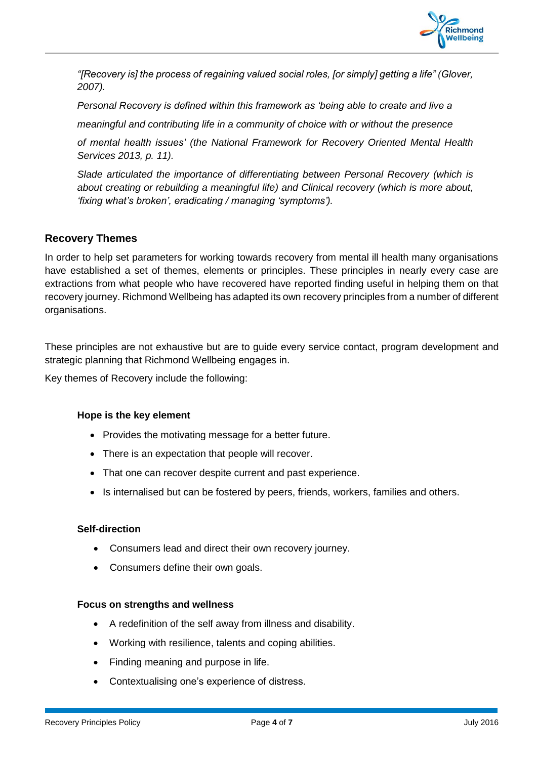

*"[Recovery is] the process of regaining valued social roles, [or simply] getting a life" (Glover, 2007).* 

*Personal Recovery is defined within this framework as 'being able to create and live a*

*meaningful and contributing life in a community of choice with or without the presence*

*of mental health issues' (the National Framework for Recovery Oriented Mental Health Services 2013, p. 11).*

*Slade articulated the importance of differentiating between Personal Recovery (which is about creating or rebuilding a meaningful life) and Clinical recovery (which is more about, 'fixing what's broken', eradicating / managing 'symptoms').*

## **Recovery Themes**

In order to help set parameters for working towards recovery from mental ill health many organisations have established a set of themes, elements or principles. These principles in nearly every case are extractions from what people who have recovered have reported finding useful in helping them on that recovery journey. Richmond Wellbeing has adapted its own recovery principles from a number of different organisations.

These principles are not exhaustive but are to guide every service contact, program development and strategic planning that Richmond Wellbeing engages in.

Key themes of Recovery include the following:

#### **Hope is the key element**

- Provides the motivating message for a better future.
- There is an expectation that people will recover.
- That one can recover despite current and past experience.
- Is internalised but can be fostered by peers, friends, workers, families and others.

#### **Self-direction**

- Consumers lead and direct their own recovery journey.
- Consumers define their own goals.

#### **Focus on strengths and wellness**

- A redefinition of the self away from illness and disability.
- Working with resilience, talents and coping abilities.
- Finding meaning and purpose in life.
- Contextualising one's experience of distress.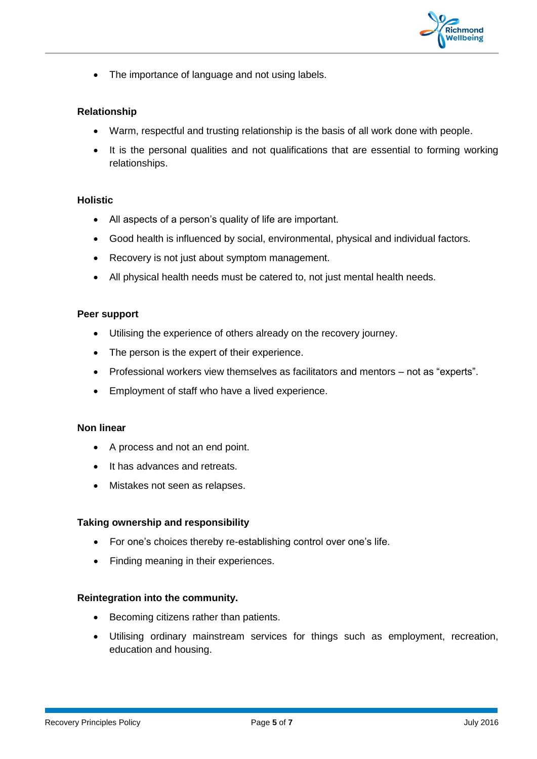

• The importance of language and not using labels.

#### **Relationship**

- Warm, respectful and trusting relationship is the basis of all work done with people.
- It is the personal qualities and not qualifications that are essential to forming working relationships.

#### **Holistic**

- All aspects of a person's quality of life are important.
- Good health is influenced by social, environmental, physical and individual factors.
- Recovery is not just about symptom management.
- All physical health needs must be catered to, not just mental health needs.

#### **Peer support**

- Utilising the experience of others already on the recovery journey.
- The person is the expert of their experience.
- Professional workers view themselves as facilitators and mentors not as "experts".
- Employment of staff who have a lived experience.

#### **Non linear**

- A process and not an end point.
- It has advances and retreats.
- Mistakes not seen as relapses.

#### **Taking ownership and responsibility**

- For one's choices thereby re-establishing control over one's life.
- Finding meaning in their experiences.

#### **Reintegration into the community.**

- Becoming citizens rather than patients.
- Utilising ordinary mainstream services for things such as employment, recreation, education and housing.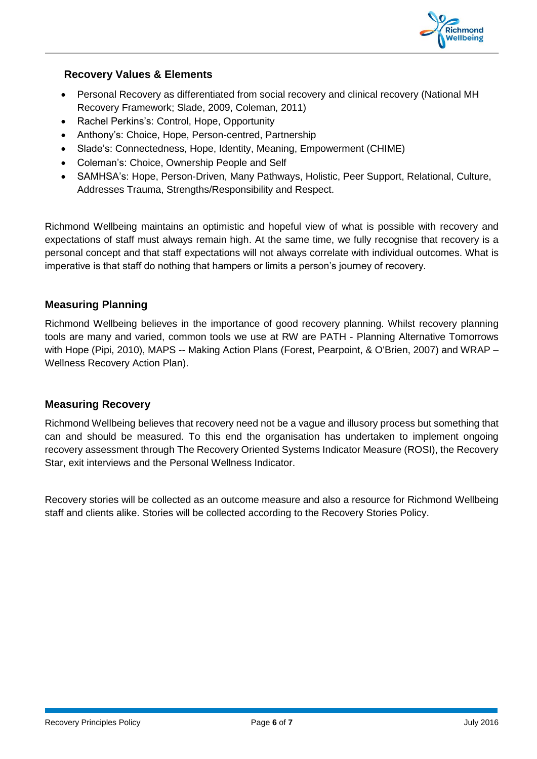

### **Recovery Values & Elements**

- Personal Recovery as differentiated from social recovery and clinical recovery (National MH Recovery Framework; Slade, 2009, Coleman, 2011)
- Rachel Perkins's: Control, Hope, Opportunity
- Anthony's: Choice, Hope, Person-centred, Partnership
- Slade's: Connectedness, Hope, Identity, Meaning, Empowerment (CHIME)
- Coleman's: Choice, Ownership People and Self
- SAMHSA's: Hope, Person-Driven, Many Pathways, Holistic, Peer Support, Relational, Culture, Addresses Trauma, Strengths/Responsibility and Respect.

Richmond Wellbeing maintains an optimistic and hopeful view of what is possible with recovery and expectations of staff must always remain high. At the same time, we fully recognise that recovery is a personal concept and that staff expectations will not always correlate with individual outcomes. What is imperative is that staff do nothing that hampers or limits a person's journey of recovery.

## **Measuring Planning**

Richmond Wellbeing believes in the importance of good recovery planning. Whilst recovery planning tools are many and varied, common tools we use at RW are PATH - Planning Alternative Tomorrows with Hope (Pipi, 2010), MAPS -- Making Action Plans (Forest, Pearpoint, & O'Brien, 2007) and WRAP – Wellness Recovery Action Plan).

#### **Measuring Recovery**

Richmond Wellbeing believes that recovery need not be a vague and illusory process but something that can and should be measured. To this end the organisation has undertaken to implement ongoing recovery assessment through The Recovery Oriented Systems Indicator Measure (ROSI), the Recovery Star, exit interviews and the Personal Wellness Indicator.

Recovery stories will be collected as an outcome measure and also a resource for Richmond Wellbeing staff and clients alike. Stories will be collected according to the Recovery Stories Policy.